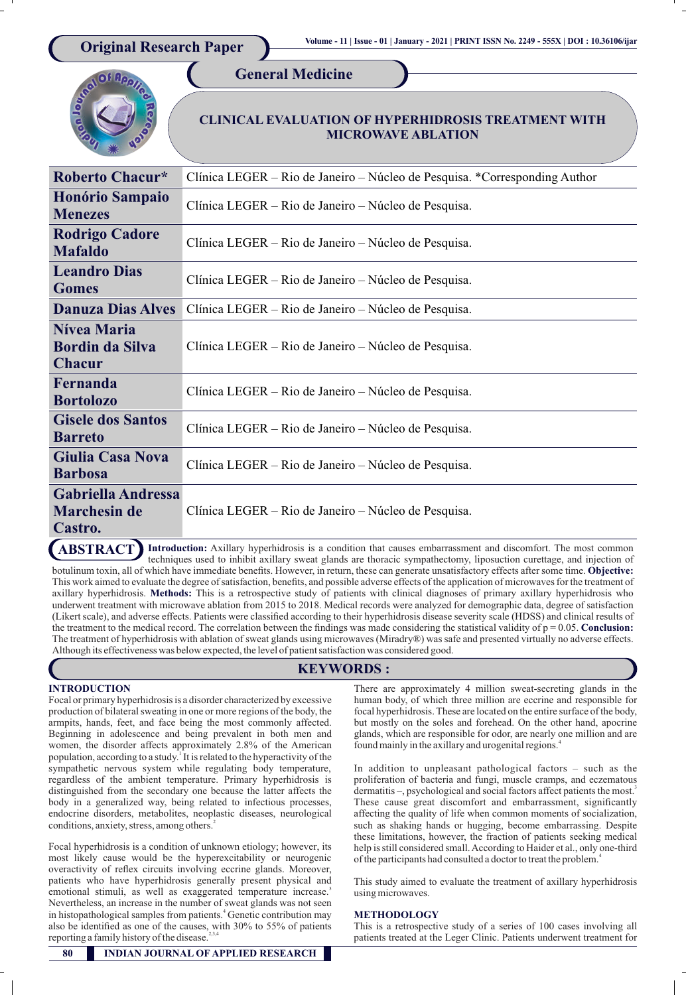

## **General Medicine**

# **CLINICAL EVALUATION OF HYPERHIDROSIS TREATMENT WITH MICROWAVE ABLATION**

| <b>Roberto Chacur*</b>                                 | Clínica LEGER – Rio de Janeiro – Núcleo de Pesquisa. *Corresponding Author |
|--------------------------------------------------------|----------------------------------------------------------------------------|
| Honório Sampaio<br><b>Menezes</b>                      | Clínica LEGER – Rio de Janeiro – Núcleo de Pesquisa.                       |
| <b>Rodrigo Cadore</b><br><b>Mafaldo</b>                | Clínica LEGER – Rio de Janeiro – Núcleo de Pesquisa.                       |
| <b>Leandro Dias</b><br><b>Gomes</b>                    | Clínica LEGER – Rio de Janeiro – Núcleo de Pesquisa.                       |
| <b>Danuza Dias Alves</b>                               | Clínica LEGER – Rio de Janeiro – Núcleo de Pesquisa.                       |
| Nívea Maria<br><b>Bordin da Silva</b><br><b>Chacur</b> | Clínica LEGER – Rio de Janeiro – Núcleo de Pesquisa.                       |
| Fernanda<br><b>Bortolozo</b>                           | Clínica LEGER – Rio de Janeiro – Núcleo de Pesquisa.                       |
| <b>Gisele dos Santos</b><br><b>Barreto</b>             | Clínica LEGER – Rio de Janeiro – Núcleo de Pesquisa.                       |
| <b>Giulia Casa Nova</b><br><b>Barbosa</b>              | Clínica LEGER – Rio de Janeiro – Núcleo de Pesquisa.                       |
| Gabriella Andressa<br><b>Marchesin de</b><br>Castro.   | Clínica LEGER – Rio de Janeiro – Núcleo de Pesquisa.                       |

**ABSTRACT** Introduction: Axillary hyperhidrosis is a condition that causes embarrassment and discomfort. The most common techniques used to inhibit axillary sweat glands are thoracic sympathectomy, liposuction curettage, and injection of botulinum toxin, all of which have immediate benets. However, in return, these can generate unsatisfactory effects after some time. **Objective:** This work aimed to evaluate the degree of satisfaction, benefits, and possible adverse effects of the application of microwaves for the treatment of axillary hyperhidrosis. Methods: This is a retrospective study of patients with clinical diagnoses of primary axillary hyperhidrosis who underwent treatment with microwave ablation from 2015 to 2018. Medical records were analyzed for demographic data, degree of satisfaction (Likert scale), and adverse effects. Patients were classified according to their hyperhidrosis disease severity scale (HDSS) and clinical results of the treatment to the medical record. The correlation between the findings was made considering the statistical validity of  $p = 0.05$ . **Conclusion:** The treatment of hyperhidrosis with ablation of sweat glands using microwaves (Miradry®) was safe and presented virtually no adverse effects. Although its effectiveness was below expected, the level of patient satisfaction was considered good.

## **KEYWORDS :**

### **INTRODUCTION**

Focal or primary hyperhidrosis is a disorder characterized by excessive production of bilateral sweating in one or more regions of the body, the armpits, hands, feet, and face being the most commonly affected. Beginning in adolescence and being prevalent in both men and women, the disorder affects approximately 2.8% of the American population, according to a study.<sup>1</sup> It is related to the hyperactivity of the sympathetic nervous system while regulating body temperature, regardless of the ambient temperature. Primary hyperhidrosis is distinguished from the secondary one because the latter affects the body in a generalized way, being related to infectious processes, endocrine disorders, metabolites, neoplastic diseases, neurological conditions, anxiety, stress, among others.<sup>2</sup>

Focal hyperhidrosis is a condition of unknown etiology; however, its most likely cause would be the hyperexcitability or neurogenic overactivity of reflex circuits involving eccrine glands. Moreover, patients who have hyperhidrosis generally present physical and emotional stimuli, as well as exaggerated temperature increase.<sup>3</sup> Nevertheless, an increase in the number of sweat glands was not seen in histopathological samples from patients.<sup>4</sup> Genetic contribution may also be identified as one of the causes, with 30% to 55% of patients reporting a family history of the disease.

There are approximately 4 million sweat-secreting glands in the human body, of which three million are eccrine and responsible for focal hyperhidrosis. These are located on the entire surface of the body, but mostly on the soles and forehead. On the other hand, apocrine glands, which are responsible for odor, are nearly one million and are found mainly in the axillary and urogenital regions.<sup>4</sup>

In addition to unpleasant pathological factors – such as the proliferation of bacteria and fungi, muscle cramps, and eczematous dermatitis -, psychological and social factors affect patients the most.<sup>3</sup> These cause great discomfort and embarrassment, significantly affecting the quality of life when common moments of socialization, such as shaking hands or hugging, become embarrassing. Despite these limitations, however, the fraction of patients seeking medical help is still considered small. According to Haider et al., only one-third 4 of the participants had consulted a doctor to treat the problem.

This study aimed to evaluate the treatment of axillary hyperhidrosis using microwaves.

### **METHODOLOGY**

This is a retrospective study of a series of 100 cases involving all patients treated at the Leger Clinic. Patients underwent treatment for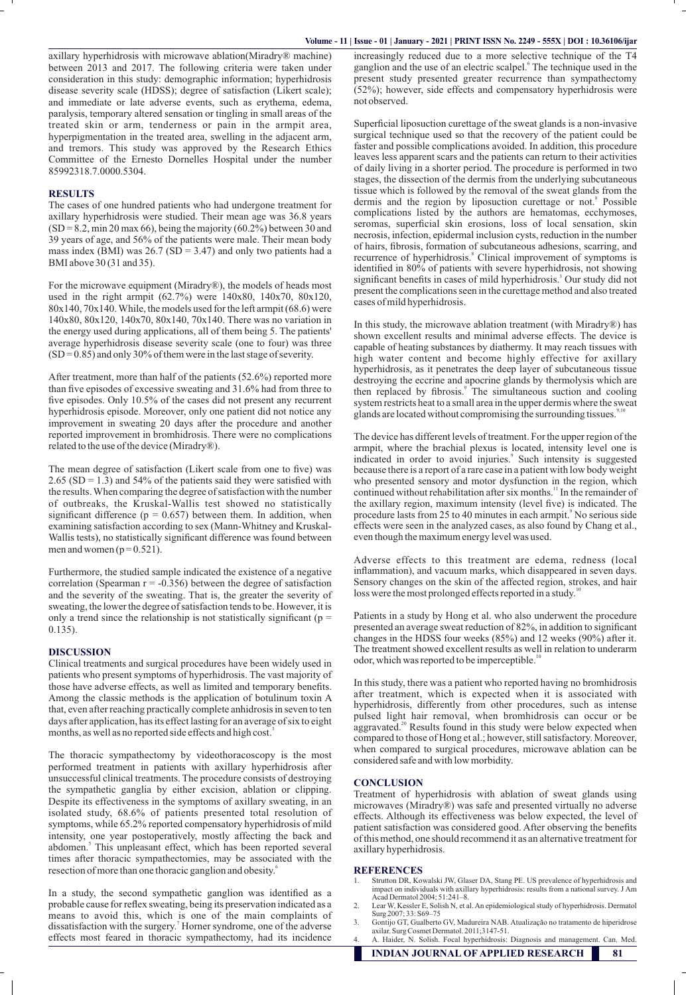axillary hyperhidrosis with microwave ablation(Miradry® machine) between 2013 and 2017. The following criteria were taken under consideration in this study: demographic information; hyperhidrosis disease severity scale (HDSS); degree of satisfaction (Likert scale); and immediate or late adverse events, such as erythema, edema, paralysis, temporary altered sensation or tingling in small areas of the treated skin or arm, tenderness or pain in the armpit area, hyperpigmentation in the treated area, swelling in the adjacent arm, and tremors. This study was approved by the Research Ethics Committee of the Ernesto Dornelles Hospital under the number 85992318.7.0000.5304.

#### **RESULTS**

The cases of one hundred patients who had undergone treatment for axillary hyperhidrosis were studied. Their mean age was 36.8 years  $(SD = 8.2, min 20 max 66)$ , being the majority  $(60.2\%)$  between 30 and 39 years of age, and 56% of the patients were male. Their mean body mass index (BMI) was  $26.7$  (SD = 3.47) and only two patients had a BMI above 30 (31 and 35).

For the microwave equipment (Miradry®), the models of heads most used in the right armpit (62.7%) were 140x80, 140x70, 80x120, 80x140, 70x140. While, the models used for the left armpit (68.6) were 140x80, 80x120, 140x70, 80x140, 70x140. There was no variation in the energy used during applications, all of them being 5. The patients' average hyperhidrosis disease severity scale (one to four) was three  $(SD = 0.85)$  and only 30% of them were in the last stage of severity.

After treatment, more than half of the patients (52.6%) reported more than five episodes of excessive sweating and 31.6% had from three to five episodes. Only 10.5% of the cases did not present any recurrent hyperhidrosis episode. Moreover, only one patient did not notice any improvement in sweating 20 days after the procedure and another reported improvement in bromhidrosis. There were no complications related to the use of the device (Miradry®).

The mean degree of satisfaction (Likert scale from one to five) was  $2.65$  (SD = 1.3) and  $54\%$  of the patients said they were satisfied with the results. When comparing the degree of satisfaction with the number of outbreaks, the Kruskal-Wallis test showed no statistically significant difference ( $p = 0.657$ ) between them. In addition, when examining satisfaction according to sex (Mann-Whitney and Kruskal-Wallis tests), no statistically significant difference was found between men and women ( $p = 0.521$ ).

Furthermore, the studied sample indicated the existence of a negative correlation (Spearman  $r = -0.356$ ) between the degree of satisfaction and the severity of the sweating. That is, the greater the severity of sweating, the lower the degree of satisfaction tends to be. However, it is only a trend since the relationship is not statistically significant ( $p =$ 0.135).

### **DISCUSSION**

Clinical treatments and surgical procedures have been widely used in patients who present symptoms of hyperhidrosis. The vast majority of those have adverse effects, as well as limited and temporary benefits. Among the classic methods is the application of botulinum toxin A that, even after reaching practically complete anhidrosis in seven to ten days after application, has its effect lasting for an average of six to eight months, as well as no reported side effects and high cost.<sup>3</sup>

The thoracic sympathectomy by videothoracoscopy is the most performed treatment in patients with axillary hyperhidrosis after unsuccessful clinical treatments. The procedure consists of destroying the sympathetic ganglia by either excision, ablation or clipping. Despite its effectiveness in the symptoms of axillary sweating, in an isolated study, 68.6% of patients presented total resolution of symptoms, while 65.2% reported compensatory hyperhidrosis of mild intensity, one year postoperatively, mostly affecting the back and abdomen.<sup>5</sup> This unpleasant effect, which has been reported several times after thoracic sympathectomies, may be associated with the resection of more than one thoracic ganglion and obesity.<sup>6</sup>

In a study, the second sympathetic ganglion was identified as a probable cause for reflex sweating, being its preservation indicated as a means to avoid this, which is one of the main complaints of dissatisfaction with the surgery.<sup>7</sup> Horner syndrome, one of the adverse effects most feared in thoracic sympathectomy, had its incidence

increasingly reduced due to a more selective technique of the T4 ganglion and the use of an electric scalpel.<sup>6</sup> The technique used in the present study presented greater recurrence than sympathectomy (52%); however, side effects and compensatory hyperhidrosis were not observed.

Superficial liposuction curettage of the sweat glands is a non-invasive surgical technique used so that the recovery of the patient could be faster and possible complications avoided. In addition, this procedure leaves less apparent scars and the patients can return to their activities of daily living in a shorter period. The procedure is performed in two stages, the dissection of the dermis from the underlying subcutaneous tissue which is followed by the removal of the sweat glands from the dermis and the region by liposuction curettage or not.<sup>8</sup> Possible complications listed by the authors are hematomas, ecchymoses, seromas, superficial skin erosions, loss of local sensation, skin necrosis, infection, epidermal inclusion cysts, reduction in the number of hairs, fibrosis, formation of subcutaneous adhesions, scarring, and recurrence of hyperhidrosis.<sup>8</sup> Clinical improvement of symptoms is identified in  $80\%$  of patients with severe hyperhidrosis, not showing significant benefits in cases of mild hyperhidrosis.<sup>3</sup> Our study did not present the complications seen in the curettage method and also treated cases of mild hyperhidrosis.

In this study, the microwave ablation treatment (with Miradry®) has shown excellent results and minimal adverse effects. The device is capable of heating substances by diathermy. It may reach tissues with high water content and become highly effective for axillary hyperhidrosis, as it penetrates the deep layer of subcutaneous tissue destroying the eccrine and apocrine glands by thermolysis which are then replaced by fibrosis.<sup>9</sup> The simultaneous suction and cooling system restricts heat to a small area in the upper dermis where the sweat glands are located without compromising the surrounding tissues.<sup>9</sup>

The device has different levels of treatment. For the upper region of the armpit, where the brachial plexus is located, intensity level one is indicated in order to avoid injuries.<sup>9</sup> Such intensity is suggested because there is a report of a rare case in a patient with low body weight who presented sensory and motor dysfunction in the region, which continued without rehabilitation after six months.<sup>11</sup> In the remainder of the axillary region, maximum intensity (level five) is indicated. The procedure lasts from 25 to 40 minutes in each armpit.<sup>9</sup> No serious side effects were seen in the analyzed cases, as also found by Chang et al., even though the maximum energy level was used.

Adverse effects to this treatment are edema, redness (local inflammation), and vacuum marks, which disappeared in seven days. Sensory changes on the skin of the affected region, strokes, and hair loss were the most prolonged effects reported in a study.<sup>1</sup>

Patients in a study by Hong et al. who also underwent the procedure presented an average sweat reduction of 82%, in addition to signicant changes in the HDSS four weeks (85%) and 12 weeks (90%) after it. The treatment showed excellent results as well in relation to underarm odor, which was reported to be imperceptible.

In this study, there was a patient who reported having no bromhidrosis after treatment, which is expected when it is associated with hyperhidrosis, differently from other procedures, such as intense pulsed light hair removal, when bromhidrosis can occur or be aggravated.<sup>20</sup> Results found in this study were below expected when compared to those of Hong et al.; however, still satisfactory. Moreover, when compared to surgical procedures, microwave ablation can be considered safe and with low morbidity.

#### **CONCLUSION**

Treatment of hyperhidrosis with ablation of sweat glands using microwaves (Miradry®) was safe and presented virtually no adverse effects. Although its effectiveness was below expected, the level of patient satisfaction was considered good. After observing the benefits of this method, one should recommend it as an alternative treatment for axillary hyperhidrosis.

#### **REFERENCES**

- 1. Strutton DR, Kowalski JW, Glaser DA, Stang PE. US prevalence of hyperhidrosis and impact on individuals with axillary hyperhidrosis: results from a national survey. J Am Acad Dermatol 2004; 51:241–8. 2. Lear W, Kessler E, Solish N, et al. An epidemiological study of hyperhidrosis. Dermatol
- Surg 2007; 33: S69–75 3. Gontijo GT, Gualberto GV, Madureira NAB. Atualização no tratamento de hiperidrose
- axilar. Surg Cosmet Dermatol. 2011;3147-51. 4. A. Haider, N. Solish. Focal hyperhidrosis: Diagnosis and management. Can. Med.